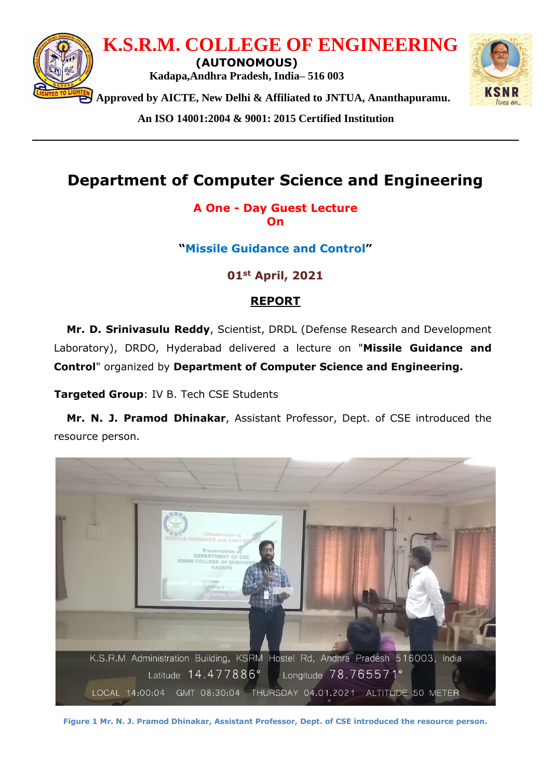

**An ISO 14001:2004 & 9001: 2015 Certified Institution**

## **Department of Computer Science and Engineering**

**A One - Day Guest Lecture On**

**"Missile Guidance and Control"**

**01st April, 2021** 

## **REPORT**

**Mr. D. Srinivasulu Reddy**, Scientist, DRDL (Defense Research and Development Laboratory), DRDO, Hyderabad delivered a lecture on "**Missile Guidance and Control**" organized by **Department of Computer Science and Engineering.**

**Targeted Group**: IV B. Tech CSE Students

**Mr. N. J. Pramod Dhinakar**, Assistant Professor, Dept. of CSE introduced the resource person.



**Figure 1 Mr. N. J. Pramod Dhinakar, Assistant Professor, Dept. of CSE introduced the resource person.**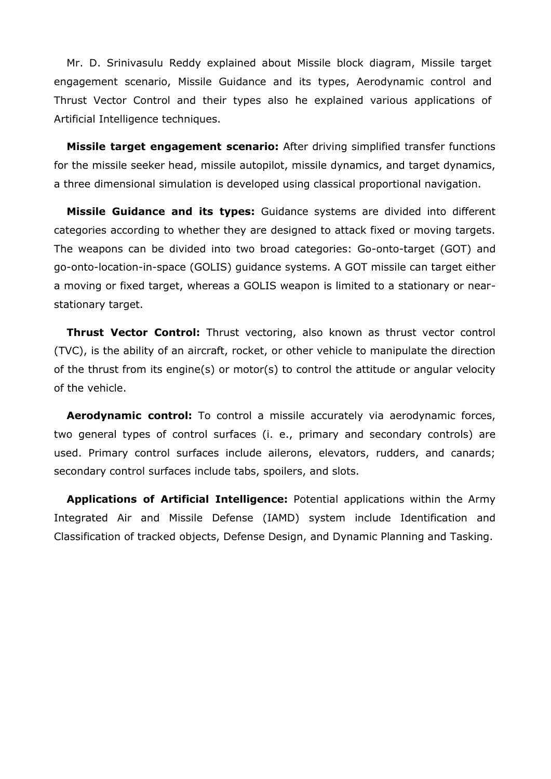Mr. D. Srinivasulu Reddy explained about Missile block diagram, Missile target engagement scenario, Missile Guidance and its types, Aerodynamic control and Thrust Vector Control and their types also he explained various applications of Artificial Intelligence techniques.

**Missile target engagement scenario:** After driving simplified transfer functions for the missile seeker head, missile autopilot, missile dynamics, and target dynamics, a three dimensional simulation is developed using classical proportional navigation.

**Missile Guidance and its types:** Guidance systems are divided into different categories according to whether they are designed to attack fixed or moving targets. The weapons can be divided into two broad categories: Go-onto-target (GOT) and go-onto-location-in-space (GOLIS) guidance systems. A GOT missile can target either a moving or fixed target, whereas a GOLIS weapon is limited to a stationary or nearstationary target.

**Thrust Vector Control:** Thrust vectoring, also known as thrust vector control (TVC), is the ability of an aircraft, rocket, or other vehicle to manipulate the direction of the thrust from its engine(s) or motor(s) to control the attitude or angular velocity of the vehicle.

**Aerodynamic control:** To control a missile accurately via aerodynamic forces, two general types of control surfaces (i. e., primary and secondary controls) are used. Primary control surfaces include ailerons, elevators, rudders, and canards; secondary control surfaces include tabs, spoilers, and slots.

**Applications of Artificial Intelligence:** Potential applications within the Army Integrated Air and Missile Defense (IAMD) system include Identification and Classification of tracked objects, Defense Design, and Dynamic Planning and Tasking.